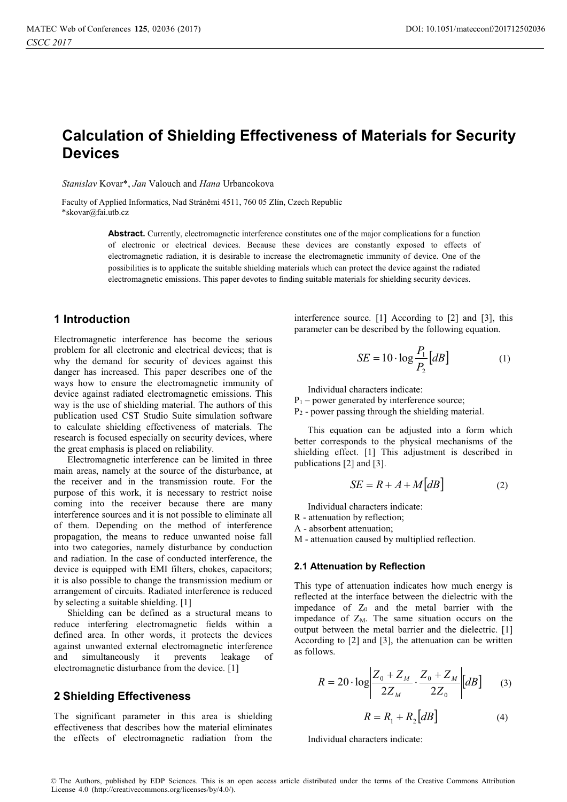# **Calculation of Shielding Effectiveness of Materials for Security Devices**

Stanislav Kovar<sup>\*</sup>, *Jan* Valouch and *Hana* Urbancokova

Faculty of Applied Informatics, Nad Stráněmi 4511, 760 05 Zlín, Czech Republic \*skovar@fai.utb.cz

> **Abstract.** Currently, electromagnetic interference constitutes one of the major complications for a function of electronic or electrical devices. Because these devices are constantly exposed to effects of electromagnetic radiation, it is desirable to increase the electromagnetic immunity of device. One of the possibilities is to applicate the suitable shielding materials which can protect the device against the radiated electromagnetic emissions. This paper devotes to finding suitable materials for shielding security devices.

## **1 Introduction**

Electromagnetic interference has become the serious problem for all electronic and electrical devices; that is why the demand for security of devices against this danger has increased. This paper describes one of the ways how to ensure the electromagnetic immunity of device against radiated electromagnetic emissions. This way is the use of shielding material. The authors of this publication used CST Studio Suite simulation software to calculate shielding effectiveness of materials. The research is focused especially on security devices, where the great emphasis is placed on reliability.

Electromagnetic interference can be limited in three main areas, namely at the source of the disturbance, at the receiver and in the transmission route. For the purpose of this work, it is necessary to restrict noise coming into the receiver because there are many interference sources and it is not possible to eliminate all of them. Depending on the method of interference propagation, the means to reduce unwanted noise fall into two categories, namely disturbance by conduction and radiation. In the case of conducted interference, the device is equipped with EMI filters, chokes, capacitors; it is also possible to change the transmission medium or arrangement of circuits. Radiated interference is reduced by selecting a suitable shielding. [1]

Shielding can be defined as a structural means to reduce interfering electromagnetic fields within a defined area. In other words, it protects the devices against unwanted external electromagnetic interference and simultaneously it prevents leakage of electromagnetic disturbance from the device. [1]

## **2 Shielding Effectiveness**

The significant parameter in this area is shielding effectiveness that describes how the material eliminates the effects of electromagnetic radiation from the

interference source. [1] According to [2] and [3], this parameter can be described by the following equation.

$$
SE = 10 \cdot \log \frac{P_1}{P_2} [dB] \tag{1}
$$

Individual characters indicate:

 $P_1$  – power generated by interference source; P2 - power passing through the shielding material.

This equation can be adjusted into a form which better corresponds to the physical mechanisms of the shielding effect. [1] This adjustment is described in publications [2] and [3].

$$
SE = R + A + M[dB]
$$
 (2)

Individual characters indicate:

R - attenuation by reflection;

A - absorbent attenuation;

M - attenuation caused by multiplied reflection.

#### **2.1 Attenuation by Reflection**

This type of attenuation indicates how much energy is reflected at the interface between the dielectric with the impedance of  $Z_0$  and the metal barrier with the impedance of  $Z_M$ . The same situation occurs on the output between the metal barrier and the dielectric. [1] According to [2] and [3], the attenuation can be written as follows.

$$
R = 20 \cdot \log \left| \frac{Z_0 + Z_M}{2Z_M} \cdot \frac{Z_0 + Z_M}{2Z_0} \right| \left[ dB \right] \tag{3}
$$

$$
R = R_1 + R_2 \big[ dB \big] \tag{4}
$$

Individual characters indicate: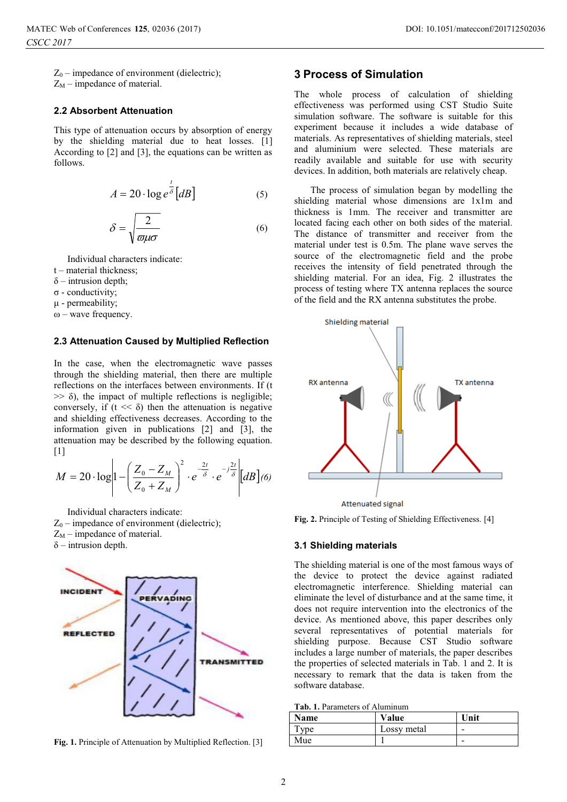$Z_0$  – impedance of environment (dielectric);

 $Z_M$  – impedance of material.

#### **2.2 Absorbent Attenuation**

This type of attenuation occurs by absorption of energy by the shielding material due to heat losses. [1] According to [2] and [3], the equations can be written as follows.

$$
A = 20 \cdot \log e^{\frac{t}{\delta}}[dB]
$$
 (5)

$$
\delta = \sqrt{\frac{2}{\varpi \mu \sigma}}\tag{6}
$$

Individual characters indicate:

- t material thickness;
- $\delta$  intrusion depth;
- σ conductivity;
- μ permeability;
- $ω$  wave frequency.

#### **2.3 Attenuation Caused by Multiplied Reflection**

In the case, when the electromagnetic wave passes through the shielding material, then there are multiple reflections on the interfaces between environments. If (t  $\gg$   $\delta$ ), the impact of multiple reflections is negligible; conversely, if  $(t \ll \delta)$  then the attenuation is negative and shielding effectiveness decreases. According to the information given in publications [2] and [3], the attenuation may be described by the following equation.  $[1]$ 

$$
M = 20 \cdot \log \left| 1 - \left( \frac{Z_0 - Z_M}{Z_0 + Z_M} \right)^2 \cdot e^{-\frac{2t}{\delta}} \cdot e^{-j\frac{2t}{\delta}} \right| \left[ dB \right] (6)
$$

Individual characters indicate:  $Z_0$  – impedance of environment (dielectric);  $Z_M$  – impedance of material.  $\delta$  – intrusion depth.



**Fig. 1.** Principle of Attenuation by Multiplied Reflection. [3]

## **3 Process of Simulation**

The whole process of calculation of shielding effectiveness was performed using CST Studio Suite simulation software. The software is suitable for this experiment because it includes a wide database of materials. As representatives of shielding materials, steel and aluminium were selected. These materials are readily available and suitable for use with security devices. In addition, both materials are relatively cheap.

 The process of simulation began by modelling the shielding material whose dimensions are 1x1m and thickness is 1mm. The receiver and transmitter are located facing each other on both sides of the material. The distance of transmitter and receiver from the material under test is 0.5m. The plane wave serves the source of the electromagnetic field and the probe receives the intensity of field penetrated through the shielding material. For an idea, Fig. 2 illustrates the process of testing where TX antenna replaces the source of the field and the RX antenna substitutes the probe.



**Fig. 2.** Principle of Testing of Shielding Effectiveness. [4]

#### **3.1 Shielding materials**

The shielding material is one of the most famous ways of the device to protect the device against radiated electromagnetic interference. Shielding material can eliminate the level of disturbance and at the same time, it does not require intervention into the electronics of the device. As mentioned above, this paper describes only several representatives of potential materials for shielding purpose. Because CST Studio software includes a large number of materials, the paper describes the properties of selected materials in Tab. 1 and 2. It is necessary to remark that the data is taken from the software database.

| <b>Tab. 1.</b> Parameters of Aluminum |                         |
|---------------------------------------|-------------------------|
| Name                                  | $\overline{\mathbf{V}}$ |

| Name | Value       | Unit                     |
|------|-------------|--------------------------|
| Type | Lossy metal | $\overline{\phantom{0}}$ |
| Mue  |             | -                        |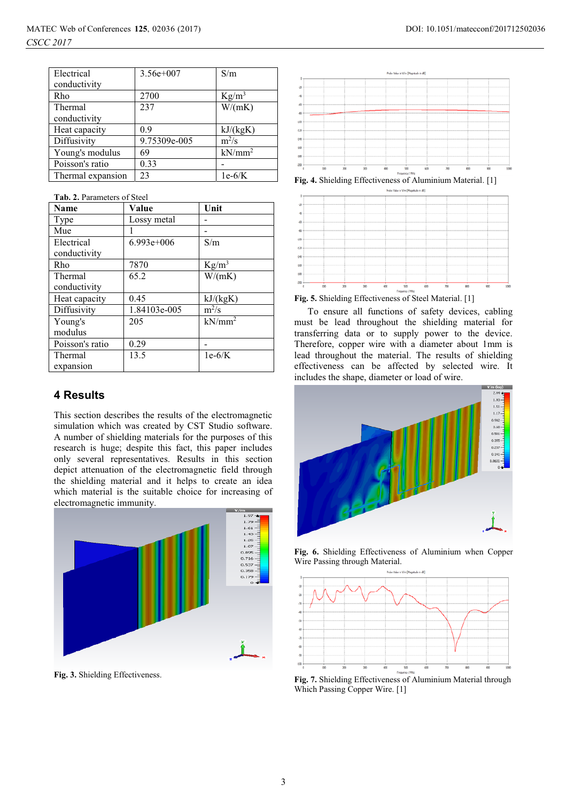| Electrical        | $3.56e+007$  | S/m       |
|-------------------|--------------|-----------|
| conductivity      |              |           |
| Rho               | 2700         | $Kg/m^3$  |
| Thermal           | 237          | W/(mK)    |
| conductivity      |              |           |
| Heat capacity     | 0.9          | kJ/(kgK)  |
| Diffusivity       | 9.75309e-005 | $m^2/s$   |
| Young's modulus   | 69           | $kN/mm^2$ |
| Poisson's ratio   | 0.33         |           |
| Thermal expansion | 23           | $1e-6/K$  |

**Tab. 2.** Parameters of Steel

| Name            | Value        | Unit      |
|-----------------|--------------|-----------|
| Type            | Lossy metal  |           |
| Mue             |              |           |
| Electrical      | $6.993e+006$ | S/m       |
| conductivity    |              |           |
| Rho             | 7870         | $Kg/m^3$  |
| Thermal         | 65.2         | W/(mK)    |
| conductivity    |              |           |
| Heat capacity   | 0.45         | kJ/(kgK)  |
| Diffusivity     | 1.84103e-005 | $m^2/s$   |
| Young's         | 205          | $kN/mm^2$ |
| modulus         |              |           |
| Poisson's ratio | 0.29         |           |
| Thermal         | 13.5         | $1e-6/K$  |
| expansion       |              |           |

## **4 Results**

This section describes the results of the electromagnetic simulation which was created by CST Studio software. A number of shielding materials for the purposes of this research is huge; despite this fact, this paper includes only several representatives. Results in this section depict attenuation of the electromagnetic field through the shielding material and it helps to create an idea which material is the suitable choice for increasing of electromagnetic immunity.



**Fig. 3.** Shielding Effectiveness.



**Fig. 4.** Shielding Effectiveness of Aluminium Material. [1]



**Fig. 5.** Shielding Effectiveness of Steel Material. [1]

To ensure all functions of safety devices, cabling must be lead throughout the shielding material for transferring data or to supply power to the device. Therefore, copper wire with a diameter about 1mm is lead throughout the material. The results of shielding effectiveness can be affected by selected wire. It includes the shape, diameter or load of wire.



**Fig. 6.** Shielding Effectiveness of Aluminium when Copper Wire Passing through Material.



**Fig. 7.** Shielding Effectiveness of Aluminium Material through Which Passing Copper Wire. [1]